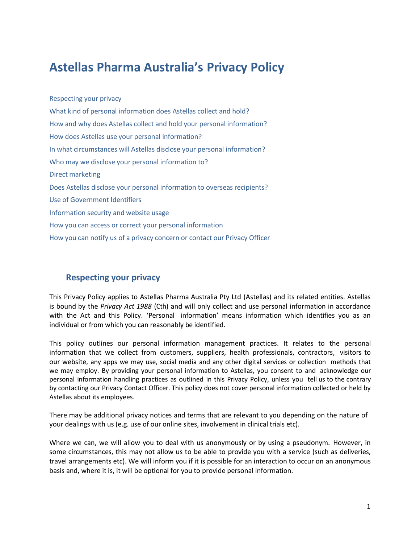# **Astellas Pharma Australia's Privacy Policy**

[Respecting your](#page-0-0) privacy What kind of personal [information does](#page-1-0) Astellas collect and hold? How and why does Astellas collect [and hold your](#page-2-0) personal information? How does Astellas use your personal [information?](#page-3-0) In what [circumstances](#page-4-0) will Astellas disclose your personal information? Who may we disclose your personal [information to?](#page-5-0) Direct [marketing](#page-5-1) Does [Astellas disclose](#page-6-0) your personal information to overseas recipients? Use [of Government Identifiers](#page-6-1) [Information security](#page-7-0) and website usage How you can access or [correct your](#page-8-0) personal information How you can notify us of a privacy concern or contact [our Privacy](#page-8-1) Officer

# **Respecting your privacy**

<span id="page-0-0"></span>This Privacy Policy applies to Astellas Pharma Australia Pty Ltd (Astellas) and its related entities. Astellas is bound by the *Privacy Act 1988* (Cth) and will only collect and use personal information in accordance with the Act and this Policy. 'Personal information' means information which identifies you as an individual or from which you can reasonably be identified.

This policy outlines our personal information management practices. It relates to the personal information that we collect from customers, suppliers, health professionals, contractors, visitors to our website, any apps we may use, social media and any other digital services or collection methods that we may employ. By providing your personal information to Astellas, you consent to and acknowledge our personal information handling practices as outlined in this Privacy Policy, unless you tell us to the contrary by contacting our Privacy [Contact](http://www.virginaustralia.com/about-us/legal-policies/privacy/#privacy_officer) Officer. This policy does not cover personal information collected or held by Astellas about its employees.

There may be additional privacy notices and terms that are relevant to you depending on the nature of your dealings with us (e.g. use of our online sites, involvement in clinical trials etc).

Where we can, we will allow you to deal with us anonymously or by using a pseudonym. However, in some circumstances, this may not allow us to be able to provide you with a service (such as deliveries, travel arrangements etc). We will inform you if it is possible for an interaction to occur on an anonymous basis and, where it is, it will be optional for you to provide personal information.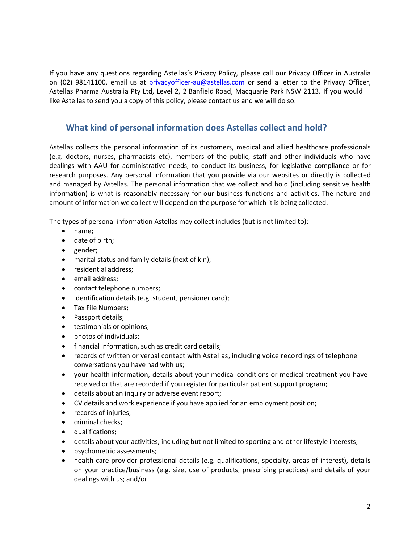like Astellas to send you a copy of this policy, please contact us and we will do so. Astellas Pharma Australia Pty Ltd, Level 2, 2 Banfield Road, Macquarie Park NSW 2113. If you would on (02) 98141100, email us at [privacyofficer-au@astellas.com](mailto:privacyofficer-au@astellas.com) or send a letter to the Privacy Officer, If you have any questions regarding Astellas's Privacy Policy, please call our Privacy Officer in Australia

# <span id="page-1-0"></span>**What kind of personal information does Astellas collect and hold?**

amount of information we collect will depend on the purpose for which it is being collected. information) is what is reasonably necessary for our business functions and activities. The nature and and managed by Astellas. The personal information that we collect and hold (including sensitive health research purposes. Any personal information that you provide via our websites or directly is collected dealings with AAU for administrative needs, to conduct its business, for legislative compliance or for (e.g. doctors, nurses, pharmacists etc), members of the public, staff and other individuals who have Astellas collects the personal information of its customers, medical and allied healthcare professionals

The types of personal information Astellas may collect includes (but is not limited to):

- name;
- date of birth;
- gender;
- marital status and family details (next of kin);
- residential address;
- email address;
- contact telephone numbers;
- identification details (e.g. student, pensioner card);
- Tax File Numbers;
- Passport details;
- **•** testimonials or opinions;
- photos of individuals;
- financial information, such as credit card details;
- conversations you have had with us; records of written or verbal contact with Astellas, including voice recordings of telephone
- received or that are recorded if you register for particular patient support program; your health information, details about your medical conditions or medical treatment you have
- details about an inquiry or adverse event report;
- CV details and work experience if you have applied for an employment position;
- records of injuries:
- criminal checks;
- qualifications;
- details about your activities, including but not limited to sporting and other lifestyle interests;
- psychometric assessments;
- dealings with us; and/or on your practice/business (e.g. size, use of products, prescribing practices) and details of your health care provider professional details (e.g. qualifications, specialty, areas of interest), details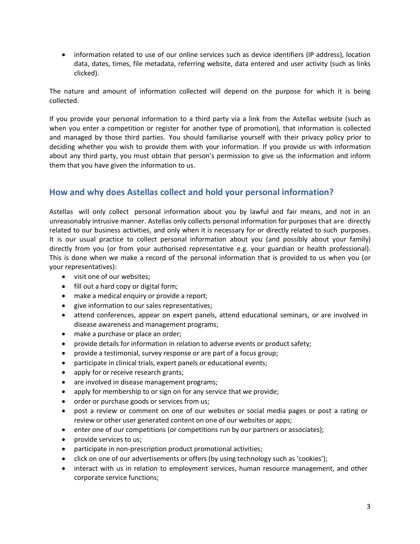information related to use of our online services such as device identifiers (IP address), location data, dates, times, file metadata, referring website, data entered and user activity (such as links clicked).

The nature and amount of information collected will depend on the purpose for which it is being collected.

If you provide your personal information to a third party via a link from the Astellas website (such as when you enter a competition or register for another type of promotion), that information is collected and managed by those third parties. You should familiarise yourself with their privacy policy prior to deciding whether you wish to provide them with your information. If you provide us with information about any third party, you must obtain that person's permission to give us the information and inform them that you have given the information to us.

## <span id="page-2-0"></span>**How and why does Astellas collect and hold your personal information?**

Astellas will only collect personal information about you by lawful and fair means, and not in an unreasonably intrusive manner. Astellas only collects personal information for purposes that are directly related to our business activities, and only when it is necessary for or directly related to such purposes. It is our usual practice to collect personal information about you (and possibly about your family) directly from you (or from your authorised representative e.g. your guardian or health professional). This is done when we make a record of the personal information that is provided to us when you (or your representatives):

- visit one of our websites;
- fill out a hard copy or digital form;
- make a medical enquiry or provide a report;
- give information to our sales representatives;
- attend conferences, appear on expert panels, attend educational seminars, or are involved in disease awareness and management programs;
- make a purchase or place an order;
- provide details for information in relation to adverse events or product safety;
- provide a testimonial, survey response or are part of a focus group;
- participate in clinical trials, expert panels or educational events;
- apply for or receive research grants;
- are involved in disease management programs;
- apply for membership to or sign on for any service that we provide;
- order or purchase goods or services from us;
- post a review or comment on one of our websites or social media pages or post a rating or review or other user generated content on one of our websites or apps;
- enter one of our competitions (or competitions run by our partners or associates);
- provide services to us;
- participate in non-prescription product promotional activities;
- click on one of our advertisements or offers (by using technology such as 'cookies');
- interact with us in relation to employment services, human resource management, and other corporate service functions;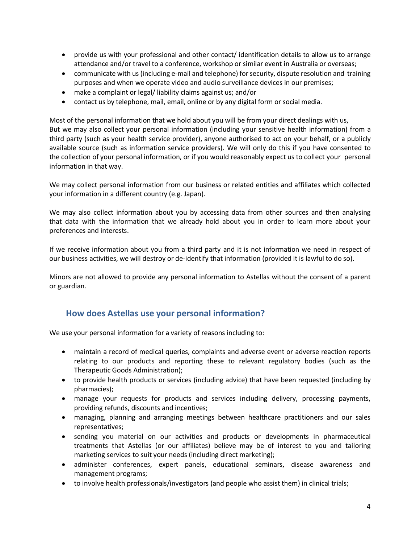- provide us with your professional and other contact/ identification details to allow us to arrange attendance and/or travel to a conference, workshop or similar event in Australia or overseas;
- communicate with us (including e-mail and telephone) for security, dispute resolution and training purposes and when we operate video and audio surveillance devices in our premises;
- make a complaint or legal/ liability claims against us; and/or
- contact us by telephone, mail, email, online or by any digital form or social media.

Most of the personal information that we hold about you will be from your direct dealings with us, But we may also collect your personal information (including your sensitive health information) from a third party (such as your health service provider), anyone authorised to act on your behalf, or a publicly available source (such as information service providers). We will only do this if you have consented to the collection of your personal information, or if you would reasonably expect us to collect your personal information in that way.

We may collect personal information from our business or related entities and affiliates which collected your information in a different country (e.g. Japan).

We may also collect information about you by accessing data from other sources and then analysing that data with the information that we already hold about you in order to learn more about your preferences and interests.

If we receive information about you from a third party and it is not information we need in respect of our business activities, we will destroy or de-identify that information (provided it is lawful to do so).

Minors are not allowed to provide any personal information to Astellas without the consent of a parent or guardian.

## <span id="page-3-0"></span>**How does Astellas use your personal information?**

We use your personal information for a variety of reasons including to:

- maintain a record of medical queries, complaints and adverse event or adverse reaction reports relating to our products and reporting these to relevant regulatory bodies (such as the Therapeutic Goods Administration);
- to provide health products or services (including advice) that have been requested (including by pharmacies);
- manage your requests for products and services including delivery, processing payments, providing refunds, discounts and incentives;
- managing, planning and arranging meetings between healthcare practitioners and our sales representatives;
- sending you material on our activities and products or developments in pharmaceutical treatments that Astellas (or our affiliates) believe may be of interest to you and tailoring marketing services to suit your needs (including direct marketing);
- administer conferences, expert panels, educational seminars, disease awareness and management programs;
- to involve health professionals/investigators (and people who assist them) in clinical trials;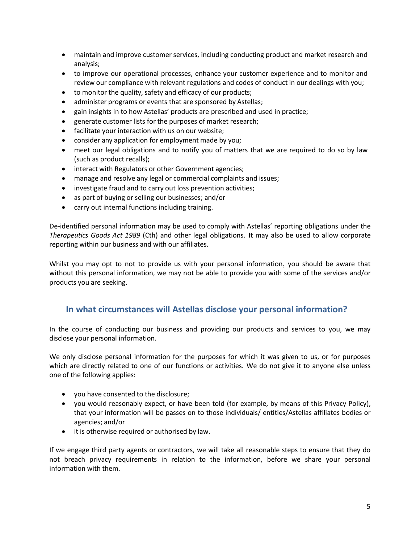- maintain and improve customer services, including conducting product and market research and analysis;
- to improve our operational processes, enhance your customer experience and to monitor and review our compliance with relevant regulations and codes of conduct in our dealings with you;
- to monitor the quality, safety and efficacy of our products;
- administer programs or events that are sponsored by Astellas;
- gain insights in to how Astellas' products are prescribed and used in practice;
- **•** generate customer lists for the purposes of market research;
- facilitate your interaction with us on our website;
- consider any application for employment made by you;
- meet our legal obligations and to notify you of matters that we are required to do so by law (such as product recalls);
- interact with Regulators or other Government agencies;
- manage and resolve any legal or commercial complaints and issues;
- investigate fraud and to carry out loss prevention activities;
- as part of buying or selling our businesses; and/or
- carry out internal functions including training.

De-identified personal information may be used to comply with Astellas' reporting obligations under the *Therapeutics Goods Act 1989* (Cth) and other legal obligations. It may also be used to allow corporate reporting within our business and with our affiliates.

Whilst you may opt to not to provide us with your personal information, you should be aware that without this personal information, we may not be able to provide you with some of the services and/or products you are seeking.

#### <span id="page-4-0"></span>**In what circumstances will Astellas disclose your personal information?**

In the course of conducting our business and providing our products and services to you, we may disclose your personal information.

We only disclose personal information for the purposes for which it was given to us, or for purposes which are directly related to one of our functions or activities. We do not give it to anyone else unless one of the following applies:

- you have consented to the disclosure;
- you would reasonably expect, or have been told (for example, by means of this Privacy Policy), that your information will be passes on to those individuals/ entities/Astellas affiliates bodies or agencies; and/or
- it is otherwise required or authorised by law.

If we engage third party agents or contractors, we will take all reasonable steps to ensure that they do not breach privacy requirements in relation to the information, before we share your personal information with them.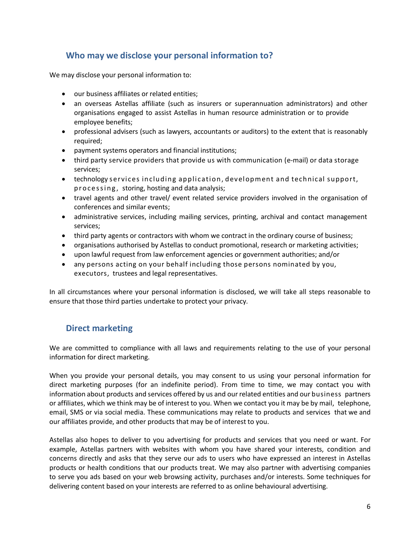# <span id="page-5-0"></span>**Who may we disclose your personal information to?**

We may disclose your personal information to:

- our business affiliates or related entities;
- an overseas Astellas affiliate (such as insurers or superannuation administrators) and other organisations engaged to assist Astellas in human resource administration or to provide employee benefits;
- professional advisers (such as lawyers, accountants or auditors) to the extent that is reasonably required;
- payment systems operators and financial institutions;
- third party service providers that provide us with communication (e-mail) or data storage services;
- technology services including application, development and technical support, p r o c e s s i n g, storing, hosting and data analysis;
- travel agents and other travel/ event related service providers involved in the organisation of conferences and similar events;
- administrative services, including mailing services, printing, archival and contact management services;
- third party agents or contractors with whom we contract in the ordinary course of business;
- organisations authorised by Astellas to conduct promotional, research or marketing activities;
- upon lawful request from law enforcement agencies or government authorities; and/or
- any persons acting on your behalf including those persons nominated by you, executors, trustees and legal representatives.

In all circumstances where your personal information is disclosed, we will take all steps reasonable to ensure that those third parties undertake to protect your privacy.

## <span id="page-5-1"></span>**Direct marketing**

We are committed to compliance with all laws and requirements relating to the use of your personal information for direct marketing.

When you provide your personal details, you may consent to us using your personal information for direct marketing purposes (for an indefinite period). From time to time, we may contact you with information about products and services offered by us and our related entities and our business partners or affiliates, which we think may be of interest to you. When we contact you it may be by mail, telephone, email, SMS or via social media. These communications may relate to products and services that we and our affiliates provide, and other products that may be of interest to you.

Astellas also hopes to deliver to you advertising for products and services that you need or want. For example, Astellas partners with websites with whom you have shared your interests, condition and concerns directly and asks that they serve our ads to users who have expressed an interest in Astellas products or health conditions that our products treat. We may also partner with advertising companies to serve you ads based on your web browsing activity, purchases and/or interests. Some techniques for delivering content based on your interests are referred to as online behavioural advertising.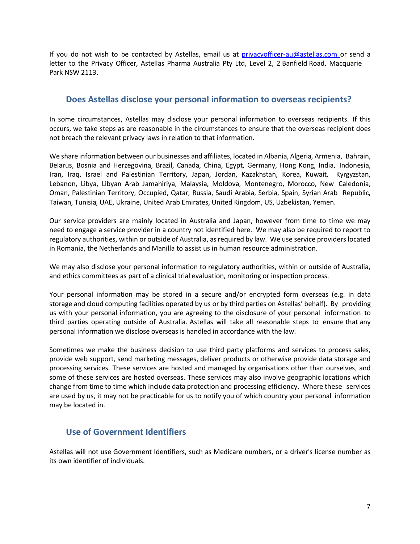Park NSW 2113. letter to the Privacy Officer, Astellas Pharma Australia Pty Ltd, Level 2, 2 Banfield Road, Macquarie If you do not wish to be contacted by Astellas, email us at [privacyofficer-au@astellas.com](mailto:privacyofficer-au@astellas.com) or send a

#### <span id="page-6-0"></span>**Does Astellas disclose your personal information to overseas recipients?**

not breach the relevant privacy laws in relation to that information. occurs, we take steps as are reasonable in the circumstances to ensure that the overseas recipient does In some circumstances, Astellas may disclose your personal information to overseas recipients. If this

Taiwan, Tunisia, UAE, Ukraine, United Arab Emirates, United Kingdom, US, Uzbekistan, Yemen. Oman, Palestinian Territory, Occupied, Qatar, Russia, Saudi Arabia, Serbia, Spain, Syrian Arab Republic, Lebanon, Libya, Libyan Arab Jamahiriya, Malaysia, Moldova, Montenegro, Morocco, New Caledonia, Iran, Iraq, Israel and Palestinian Territory, Japan, Jordan, Kazakhstan, Korea, Kuwait, Kyrgyzstan, Belarus, Bosnia and Herzegovina, Brazil, Canada, China, Egypt, Germany, Hong Kong, India, Indonesia, We share information between our businesses and affiliates, located in Albania, Algeria, Armenia, Bahrain,

 regulatory authorities, within or outside of Australia, asrequired by law. We use service providers located in Romania, the Netherlands and Manilla to assist us in human resource administration. need to engage a service provider in a country not identified here. We may also be required to report to Our service providers are mainly located in Australia and Japan, however from time to time we may

and ethics committees as part of a clinical trial evaluation, monitoring or inspection process. We may also disclose your personal information to regulatory authorities, within or outside of Australia,

personal information we disclose overseas is handled in accordance with the law. third parties operating outside of Australia. Astellas will take all reasonable steps to ensure that any us with your personal information, you are agreeing to the disclosure of your personal information to storage and cloud computing facilities operated by us or by third parties on Astellas' behalf). By providing Your personal information may be stored in a secure and/or encrypted form overseas (e.g. in data

may be located in. are used by us, it may not be practicable for us to notify you of which country your personal information change from time to time which include data protection and processing efficiency. Where these services some of these services are hosted overseas. These services may also involve geographic locations which processing services. These services are hosted and managed by organisations other than ourselves, and provide web support, send marketing messages, deliver products or otherwise provide data storage and Sometimes we make the business decision to use third party platforms and services to process sales,

## <span id="page-6-1"></span>**Use of Government Identifiers**

its own identifier of individuals. Astellas will not use Government Identifiers, such as Medicare numbers, or a driver's license number as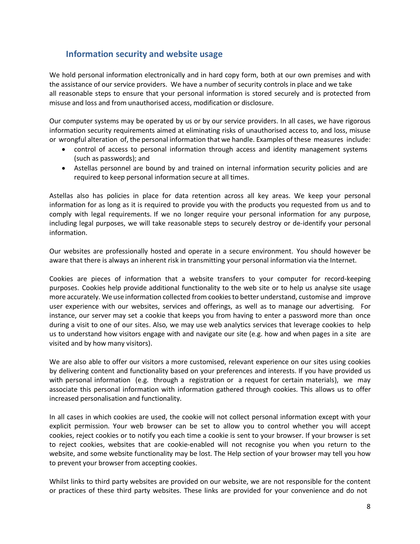## <span id="page-7-0"></span>**Information security and website usage**

We hold personal information electronically and in hard copy form, both at our own premises and with the assistance of our service providers. We have a number of security controls in place and we take all reasonable steps to ensure that your personal information is stored securely and is protected from misuse and loss and from unauthorised access, modification or disclosure.

Our computer systems may be operated by us or by our service providers. In all cases, we have rigorous information security requirements aimed at eliminating risks of unauthorised access to, and loss, misuse or wrongful alteration of, the personal information that we handle. Examples of these measures include:

- control of access to personal information through access and identity management systems (such as passwords); and
- Astellas personnel are bound by and trained on internal information security policies and are required to keep personal information secure at all times.

Astellas also has policies in place for data retention across all key areas. We keep your personal information for as long as it is required to provide you with the products you requested from us and to comply with legal requirements. If we no longer require your personal information for any purpose, including legal purposes, we will take reasonable steps to securely destroy or de-identify your personal information.

Our websites are professionally hosted and operate in a secure environment. You should however be aware that there is always an inherent risk in transmitting your personal information via the Internet.

Cookies are pieces of information that a website transfers to your computer for record-keeping purposes. Cookies help provide additional functionality to the web site or to help us analyse site usage more accurately. We use information collected from cookiesto better understand, customise and improve user experience with our websites, services and offerings, as well as to manage our advertising. For instance, our server may set a cookie that keeps you from having to enter a password more than once during a visit to one of our sites. Also, we may use web analytics services that leverage cookies to help us to understand how visitors engage with and navigate our site (e.g. how and when pages in a site are visited and by how many visitors).

We are also able to offer our visitors a more customised, relevant experience on our sites using cookies by delivering content and functionality based on your preferences and interests. If you have provided us with personal information (e.g. through a registration or a request for certain materials), we may associate this personal information with information gathered through cookies. This allows us to offer increased personalisation and functionality.

In all cases in which cookies are used, the cookie will not collect personal information except with your explicit permission. Your web browser can be set to allow you to control whether you will accept cookies, reject cookies or to notify you each time a cookie is sent to your browser. If your browser is set to reject cookies, websites that are cookie-enabled will not recognise you when you return to the website, and some website functionality may be lost. The Help section of your browser may tell you how to prevent your browser from accepting cookies.

Whilst links to third party websites are provided on our website, we are not responsible for the content or practices of these third party websites. These links are provided for your convenience and do not